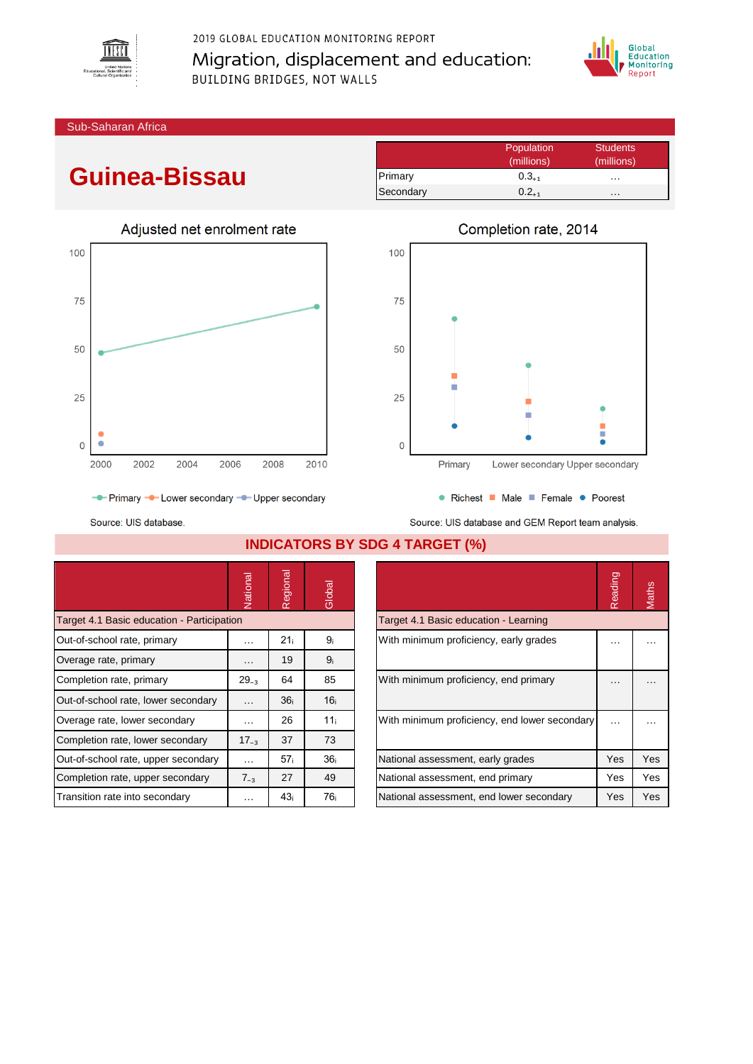

2019 GLOBAL EDUCATION MONITORING REPORT Migration, displacement and education: BUILDING BRIDGES, NOT WALLS



Sub-Saharan Africa

# **Guinea-Bissau**



|           | Population | <b>Students</b> |
|-----------|------------|-----------------|
|           | (millions) | (millions)      |
| Primary   | $0.3_{+1}$ | .               |
| Secondary | $0.2_{+1}$ | .               |



Source: UIS database.

Source: UIS database and GEM Report team analysis.

|                                            | Vational             | Regional        | Global          |                                               | Reading  | Maths    |
|--------------------------------------------|----------------------|-----------------|-----------------|-----------------------------------------------|----------|----------|
| Target 4.1 Basic education - Participation |                      |                 |                 | Target 4.1 Basic education - Learning         |          |          |
| Out-of-school rate, primary                | $\cdots$             | 21 <sub>i</sub> | 9 <sub>i</sub>  | With minimum proficiency, early grades        | $\cdots$ | $\cdots$ |
| Overage rate, primary                      | $\cdots$             | 19              | 9 <sub>i</sub>  |                                               |          |          |
| Completion rate, primary                   | $29_{-3}$            | 64              | 85              | With minimum proficiency, end primary         | $\cdots$ | .        |
| Out-of-school rate, lower secondary        | $\cdots$             | 36 <sub>i</sub> | 16 <sub>i</sub> |                                               |          |          |
| Overage rate, lower secondary              | $\sim$ $\sim$ $\sim$ | 26              | 11 <sub>i</sub> | With minimum proficiency, end lower secondary | $\cdots$ | .        |
| Completion rate, lower secondary           | $17_{-3}$            | 37              | 73              |                                               |          |          |
| Out-of-school rate, upper secondary        | $\cdots$             | 57 <sub>i</sub> | 36 <sub>i</sub> | National assessment, early grades             | Yes      | Yes      |
| Completion rate, upper secondary           | $7_{-3}$             | 27              | 49              | National assessment, end primary              | Yes      | Yes      |
| Transition rate into secondary             | $\cdots$             | 43 <sub>i</sub> | 76i             | National assessment, end lower secondary      | Yes      | Yes      |

## **INDICATORS BY SDG 4 TARGET (%)**

|                                               | Reading |     |
|-----------------------------------------------|---------|-----|
| Target 4.1 Basic education - Learning         |         |     |
| With minimum proficiency, early grades        |         |     |
| With minimum proficiency, end primary         |         |     |
| With minimum proficiency, end lower secondary |         |     |
| National assessment, early grades             | Yes     | Yes |
| National assessment, end primary              | Yes     | Yes |
| National assessment, end lower secondary      | Yes     | Yes |
|                                               |         |     |